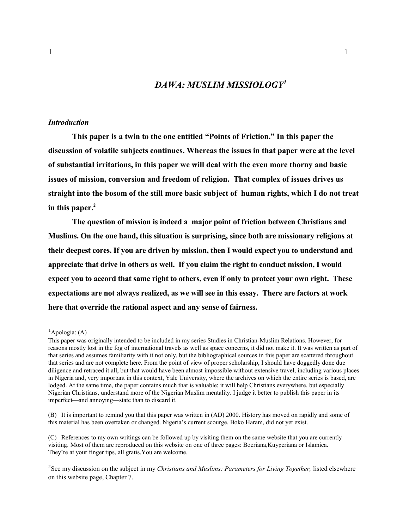## *DAWA: MUSLIM MISSIOLOGY[1](#page-0-0)*

### *Introduction*

**This paper is a twin to the one entitled "Points of Friction." In this paper the discussion of volatile subjects continues. Whereas the issues in that paper were at the level of substantial irritations, in this paper we will deal with the even more thorny and basic issues of mission, conversion and freedom of religion. That complex of issues drives us straight into the bosom of the still more basic subject of human rights, which I do not treat in this paper.[2](#page-0-1)**

**The question of mission is indeed a major point of friction between Christians and Muslims. On the one hand, this situation is surprising, since both are missionary religions at their deepest cores. If you are driven by mission, then I would expect you to understand and appreciate that drive in others as well. If you claim the right to conduct mission, I would expect you to accord that same right to others, even if only to protect your own right. These expectations are not always realized, as we will see in this essay. There are factors at work here that override the rational aspect and any sense of fairness.** 

<span id="page-0-0"></span> ${}^{1}$ Apologia: (A)

This paper was originally intended to be included in my series Studies in Christian-Muslim Relations. However, for reasons mostly lost in the fog of international travels as well as space concerns, it did not make it. It was written as part of that series and assumes familiarity with it not only, but the bibliographical sources in this paper are scattered throughout that series and are not complete here. From the point of view of proper scholarship, I should have doggedly done due diligence and retraced it all, but that would have been almost impossible without extensive travel, including various places in Nigeria and, very important in this context, Yale University, where the archives on which the entire series is based, are lodged. At the same time, the paper contains much that is valuable; it will help Christians everywhere, but especially Nigerian Christians, understand more of the Nigerian Muslim mentality. I judge it better to publish this paper in its imperfect—and annoying—state than to discard it.

<sup>(</sup>B) It is important to remind you that this paper was written in (AD) 2000. History has moved on rapidly and some of this material has been overtaken or changed. Nigeria's current scourge, Boko Haram, did not yet exist.

<sup>(</sup>C) References to my own writings can be followed up by visiting them on the same website that you are currently visiting. Most of them are reproduced on this website on one of three pages: Boeriana,Kuyperiana or Islamica. They're at your finger tips, all gratis.You are welcome.

<span id="page-0-1"></span><sup>&</sup>lt;sup>2</sup>See my discussion on the subject in my *Christians and Muslims: Parameters for Living Together*, listed elsewhere on this website page, Chapter 7.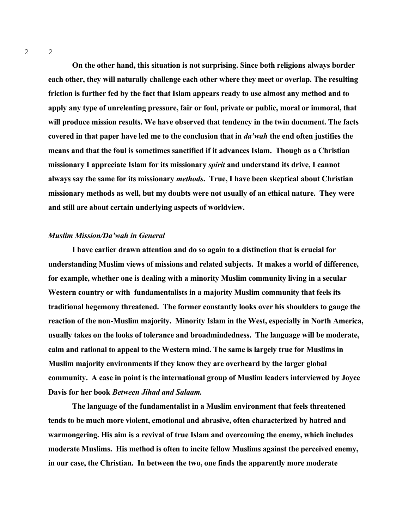**On the other hand, this situation is not surprising. Since both religions always border each other, they will naturally challenge each other where they meet or overlap. The resulting friction is further fed by the fact that Islam appears ready to use almost any method and to apply any type of unrelenting pressure, fair or foul, private or public, moral or immoral, that will produce mission results. We have observed that tendency in the twin document. The facts covered in that paper have led me to the conclusion that in** *da'wah* **the end often justifies the means and that the foul is sometimes sanctified if it advances Islam. Though as a Christian missionary I appreciate Islam for its missionary** *spirit* **and understand its drive, I cannot always say the same for its missionary** *methods***. True, I have been skeptical about Christian missionary methods as well, but my doubts were not usually of an ethical nature. They were and still are about certain underlying aspects of worldview.** 

### *Muslim Mission/Da'wah in General*

**I have earlier drawn attention and do so again to a distinction that is crucial for understanding Muslim views of missions and related subjects. It makes a world of difference, for example, whether one is dealing with a minority Muslim community living in a secular Western country or with fundamentalists in a majority Muslim community that feels its traditional hegemony threatened. The former constantly looks over his shoulders to gauge the reaction of the non-Muslim majority. Minority Islam in the West, especially in North America, usually takes on the looks of tolerance and broadmindedness. The language will be moderate, calm and rational to appeal to the Western mind. The same is largely true for Muslims in Muslim majority environments if they know they are overheard by the larger global community. A case in point is the international group of Muslim leaders interviewed by Joyce Davis for her book** *Between Jihad and Salaam.*

**The language of the fundamentalist in a Muslim environment that feels threatened tends to be much more violent, emotional and abrasive, often characterized by hatred and warmongering. His aim is a revival of true Islam and overcoming the enemy, which includes moderate Muslims. His method is often to incite fellow Muslims against the perceived enemy, in our case, the Christian. In between the two, one finds the apparently more moderate**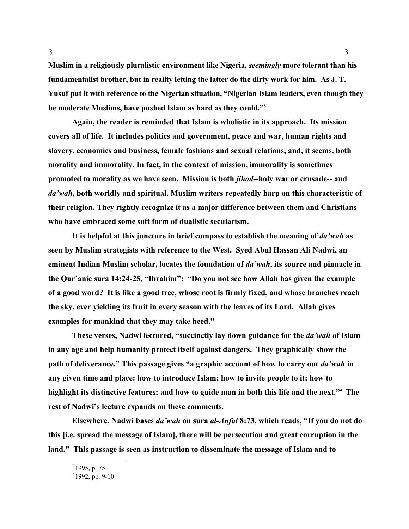**Muslim in a religiously pluralistic environment like Nigeria,** *seemingly* **more tolerant than his fundamentalist brother, but in reality letting the latter do the dirty work for him. As J. T. Yusuf put it with reference to the Nigerian situation, "Nigerian Islam leaders, even though they be moderate Muslims, have pushed Islam as hard as they could."[3](#page-2-0)**

**Again, the reader is reminded that Islam is wholistic in its approach. Its mission covers all of life. It includes politics and government, peace and war, human rights and slavery, economics and business, female fashions and sexual relations, and, it seems, both morality and immorality. In fact, in the context of mission, immorality is sometimes promoted to morality as we have seen. Mission is both** *jihad--***holy war or crusade-- and**  *da'wah***, both worldly and spiritual. Muslim writers repeatedly harp on this characteristic of their religion. They rightly recognize it as a major difference between them and Christians who have embraced some soft form of dualistic secularism.** 

**It is helpful at this juncture in brief compass to establish the meaning of** *da'wah* **as seen by Muslim strategists with reference to the West. Syed Abul Hassan Ali Nadwi, an eminent Indian Muslim scholar, locates the foundation of** *da'wah***, its source and pinnacle in the Qur'anic sura 14:24-25, "Ibrahim": "Do you not see how Allah has given the example of a good word? It is like a good tree, whose root is firmly fixed, and whose branches reach the sky, ever yielding its fruit in every season with the leaves of its Lord. Allah gives examples for mankind that they may take heed."** 

**These verses, Nadwi lectured, "succinctly lay down guidance for the** *da'wah* **of Islam in any age and help humanity protect itself against dangers. They graphically show the path of deliverance." This passage gives "a graphic account of how to carry out** *da'wah* **in any given time and place: how to introduce Islam; how to invite people to it; how to highlight its distinctive features; and how to guide man in both this life and the next."[4](#page-2-1) The rest of Nadwi's lecture expands on these comments.** 

**Elsewhere, Nadwi bases** *da'wah* **on sura** *al-Anfal* **8:73, which reads, "If you do not do this [i.e. spread the message of Islam], there will be persecution and great corruption in the land." This passage is seen as instruction to disseminate the message of Islam and to** 

<span id="page-2-0"></span> $31995$ , p. 75.

<span id="page-2-1"></span> $41992$ , pp. 9-10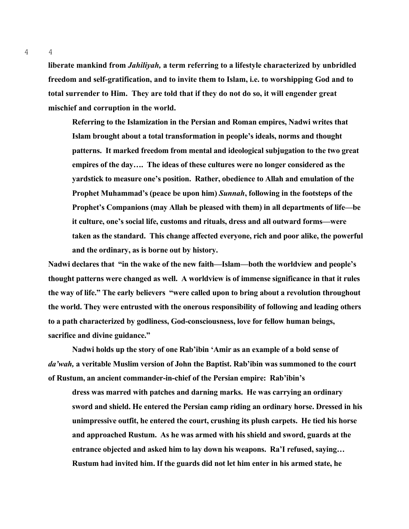**liberate mankind from** *Jahiliyah,* **a term referring to a lifestyle characterized by unbridled freedom and self-gratification, and to invite them to Islam, i.e. to worshipping God and to total surrender to Him. They are told that if they do not do so, it will engender great mischief and corruption in the world.** 

**Referring to the Islamization in the Persian and Roman empires, Nadwi writes that Islam brought about a total transformation in people's ideals, norms and thought patterns. It marked freedom from mental and ideological subjugation to the two great empires of the day…. The ideas of these cultures were no longer considered as the yardstick to measure one's position. Rather, obedience to Allah and emulation of the Prophet Muhammad's (peace be upon him)** *Sunnah***, following in the footsteps of the Prophet's Companions (may Allah be pleased with them) in all departments of life—be it culture, one's social life, customs and rituals, dress and all outward forms—were taken as the standard. This change affected everyone, rich and poor alike, the powerful and the ordinary, as is borne out by history.**

**Nadwi declares that "in the wake of the new faith—Islam—both the worldview and people's thought patterns were changed as well. A worldview is of immense significance in that it rules the way of life." The early believers "were called upon to bring about a revolution throughout the world. They were entrusted with the onerous responsibility of following and leading others to a path characterized by godliness, God-consciousness, love for fellow human beings, sacrifice and divine guidance."**

**Nadwi holds up the story of one Rab'ibin 'Amir as an example of a bold sense of**  *da'wah,* **a veritable Muslim version of John the Baptist. Rab'ibin was summoned to the court of Rustum, an ancient commander-in-chief of the Persian empire: Rab'ibin's** 

**dress was marred with patches and darning marks. He was carrying an ordinary sword and shield. He entered the Persian camp riding an ordinary horse. Dressed in his unimpressive outfit, he entered the court, crushing its plush carpets. He tied his horse and approached Rustum. As he was armed with his shield and sword, guards at the entrance objected and asked him to lay down his weapons. Ra'I refused, saying… Rustum had invited him. If the guards did not let him enter in his armed state, he** 

4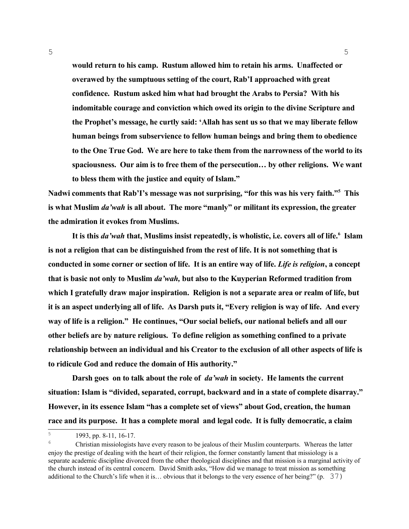**would return to his camp. Rustum allowed him to retain his arms. Unaffected or overawed by the sumptuous setting of the court, Rab'I approached with great confidence. Rustum asked him what had brought the Arabs to Persia? With his indomitable courage and conviction which owed its origin to the divine Scripture and the Prophet's message, he curtly said: 'Allah has sent us so that we may liberate fellow human beings from subservience to fellow human beings and bring them to obedience to the One True God. We are here to take them from the narrowness of the world to its spaciousness. Our aim is to free them of the persecution… by other religions. We want to bless them with the justice and equity of Islam."** 

5

**Nadwi comments that Rab'I's message was not surprising, "for this was his very faith."[5](#page-4-0) This is what Muslim** *da'wah* **is all about. The more "manly" or militant its expression, the greater the admiration it evokes from Muslims.**

**It is this** *da'wah* **that, Muslims insist repeatedly, is wholistic, i.e. covers all of life.[6](#page-4-1) Islam is not a religion that can be distinguished from the rest of life. It is not something that is conducted in some corner or section of life. It is an entire way of life.** *Life is religion***, a concept that is basic not only to Muslim** *da'wah,* **but also to the Kuyperian Reformed tradition from which I gratefully draw major inspiration. Religion is not a separate area or realm of life, but it is an aspect underlying all of life. As Darsh puts it, "Every religion is way of life. And every way of life is a religion." He continues, "Our social beliefs, our national beliefs and all our other beliefs are by nature religious. To define religion as something confined to a private relationship between an individual and his Creator to the exclusion of all other aspects of life is to ridicule God and reduce the domain of His authority."** 

**Darsh goes on to talk about the role of** *da'wah* **in society. He laments the current situation: Islam is "divided, separated, corrupt, backward and in a state of complete disarray." However, in its essence Islam "has a complete set of views" about God, creation, the human race and its purpose. It has a complete moral and legal code. It is fully democratic, a claim** 

<span id="page-4-0"></span><sup>5</sup> 1993, pp. 8-11, 16-17.

<span id="page-4-1"></span><sup>6</sup> Christian missiologists have every reason to be jealous of their Muslim counterparts. Whereas the latter enjoy the prestige of dealing with the heart of their religion, the former constantly lament that missiology is a separate academic discipline divorced from the other theological disciplines and that mission is a marginal activity of the church instead of its central concern. David Smith asks, "How did we manage to treat mission as something additional to the Church's life when it is… obvious that it belongs to the very essence of her being?" (p. 37)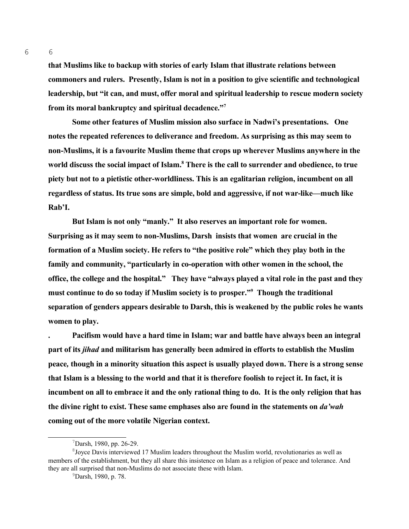**that Muslims like to backup with stories of early Islam that illustrate relations between commoners and rulers. Presently, Islam is not in a position to give scientific and technological leadership, but "it can, and must, offer moral and spiritual leadership to rescue modern society from its moral bankruptcy and spiritual decadence."[7](#page-5-0)**

**Some other features of Muslim mission also surface in Nadwi's presentations. One notes the repeated references to deliverance and freedom. As surprising as this may seem to non-Muslims, it is a favourite Muslim theme that crops up wherever Muslims anywhere in the world discuss the social impact of Islam.[8](#page-5-1) There is the call to surrender and obedience, to true piety but not to a pietistic other-worldliness. This is an egalitarian religion, incumbent on all regardless of status. Its true sons are simple, bold and aggressive, if not war-like—much like Rab'I.** 

**But Islam is not only "manly." It also reserves an important role for women. Surprising as it may seem to non-Muslims, Darsh insists that women are crucial in the formation of a Muslim society. He refers to "the positive role" which they play both in the family and community, "particularly in co-operation with other women in the school, the office, the college and the hospital." They have "always played a vital role in the past and they must continue to do so today if Muslim society is to prosper."[9](#page-5-2) Though the traditional separation of genders appears desirable to Darsh, this is weakened by the public roles he wants women to play.** 

**. Pacifism would have a hard time in Islam; war and battle have always been an integral part of its** *jihad* **and militarism has generally been admired in efforts to establish the Muslim peace***,* **though in a minority situation this aspect is usually played down. There is a strong sense that Islam is a blessing to the world and that it is therefore foolish to reject it. In fact, it is incumbent on all to embrace it and the only rational thing to do. It is the only religion that has the divine right to exist. These same emphases also are found in the statements on** *da'wah* **coming out of the more volatile Nigerian context.** 

6

<span id="page-5-1"></span><span id="page-5-0"></span> $7$ Darsh, 1980, pp. 26-29.

<sup>&</sup>lt;sup>8</sup> Joyce Davis interviewed 17 Muslim leaders throughout the Muslim world, revolutionaries as well as members of the establishment, but they all share this insistence on Islam as a religion of peace and tolerance. And they are all surprised that non-Muslims do not associate these with Islam.

<span id="page-5-2"></span><sup>9</sup>Darsh, 1980, p. 78.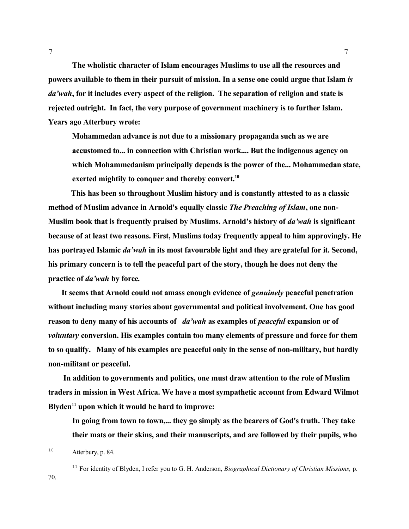**The wholistic character of Islam encourages Muslims to use all the resources and powers available to them in their pursuit of mission. In a sense one could argue that Islam** *is da'wah***, for it includes every aspect of the religion. The separation of religion and state is rejected outright. In fact, the very purpose of government machinery is to further Islam. Years ago Atterbury wrote:** 

**Mohammedan advance is not due to a missionary propaganda such as we are accustomed to... in connection with Christian work.... But the indigenous agency on which Mohammedanism principally depends is the power of the... Mohammedan state, exerted mightily to conquer and thereby convert.[10](#page-6-0)**

 **This has been so throughout Muslim history and is constantly attested to as a classic method of Muslim advance in Arnold's equally classic** *The Preaching of Islam***, one non-Muslim book that is frequently praised by Muslims. Arnold's history of** *da'wah* **is significant because of at least two reasons. First, Muslims today frequently appeal to him approvingly. He has portrayed Islamic** *da'wah* **in its most favourable light and they are grateful for it. Second, his primary concern is to tell the peaceful part of the story, though he does not deny the practice of** *da'wah* **by force***.* 

**It seems that Arnold could not amass enough evidence of** *genuinely* **peaceful penetration without including many stories about governmental and political involvement. One has good reason to deny many of his accounts of** *da'wah* **as examples of** *peaceful* **expansion or of**  *voluntary* **conversion. His examples contain too many elements of pressure and force for them to so qualify. Many of his examples are peaceful only in the sense of non-military, but hardly non-militant or peaceful.** 

 **In addition to governments and politics, one must draw attention to the role of Muslim traders in mission in West Africa. We have a most sympathetic account from Edward Wilmot Blyden[11](#page-6-1) upon which it would be hard to improve:**

**In going from town to town,... they go simply as the bearers of God's truth. They take their mats or their skins, and their manuscripts, and are followed by their pupils, who** 

70.

<span id="page-6-0"></span> $10$  Atterbury, p. 84.

<span id="page-6-1"></span><sup>11</sup> For identity of Blyden, I refer you to G. H. Anderson, *Biographical Dictionary of Christian Missions,* p.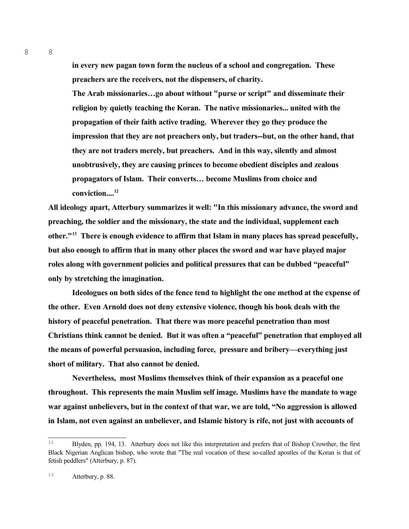**in every new pagan town form the nucleus of a school and congregation. These preachers are the receivers, not the dispensers, of charity.**

**The Arab missionaries…go about without "purse or script" and disseminate their religion by quietly teaching the Koran. The native missionaries... united with the propagation of their faith active trading. Wherever they go they produce the impression that they are not preachers only, but traders--but, on the other hand, that they are not traders merely, but preachers. And in this way, silently and almost unobtrusively, they are causing princes to become obedient disciples and zealous propagators of Islam. Their converts… become Muslims from choice and conviction....[12](#page-7-0)**

**All ideology apart, Atterbury summarizes it well: "In this missionary advance, the sword and preaching, the soldier and the missionary, the state and the individual, supplement each other."[13](#page-7-1) There is enough evidence to affirm that Islam in many places has spread peacefully, but also enough to affirm that in many other places the sword and war have played major roles along with government policies and political pressures that can be dubbed "peaceful" only by stretching the imagination.** 

**Ideologues on both sides of the fence tend to highlight the one method at the expense of the other. Even Arnold does not deny extensive violence, though his book deals with the history of peaceful penetration. That there was more peaceful penetration than most Christians think cannot be denied. But it was often a "peaceful" penetration that employed all the means of powerful persuasion, including force, pressure and bribery—everything just short of military. That also cannot be denied.** 

**Nevertheless, most Muslims themselves think of their expansion as a peaceful one throughout. This represents the main Muslim self image. Muslims have the mandate to wage war against unbelievers, but in the context of that war, we are told, "No aggression is allowed in Islam, not even against an unbeliever, and Islamic history is rife, not just with accounts of** 

8

<span id="page-7-0"></span><sup>&</sup>lt;sup>12</sup> Blyden, pp. 194, 13. Atterbury does not like this interpretation and prefers that of Bishop Crowther, the first Black Nigerian Anglican bishop, who wrote that "The real vocation of these so-called apostles of the Koran is that of fetish peddlers" (Atterbury, p. 87).

<span id="page-7-1"></span><sup>13</sup> Atterbury, p. 88.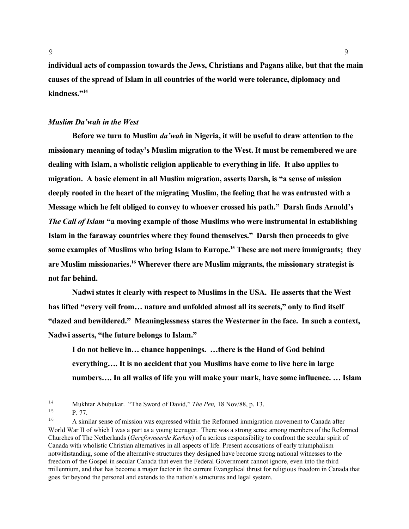**individual acts of compassion towards the Jews, Christians and Pagans alike, but that the main causes of the spread of Islam in all countries of the world were tolerance, diplomacy and kindness."[14](#page-8-0)**

## *Muslim Da'wah in the West*

**Before we turn to Muslim** *da'wah* **in Nigeria, it will be useful to draw attention to the missionary meaning of today's Muslim migration to the West. It must be remembered we are dealing with Islam, a wholistic religion applicable to everything in life. It also applies to migration. A basic element in all Muslim migration, asserts Darsh, is "a sense of mission deeply rooted in the heart of the migrating Muslim, the feeling that he was entrusted with a Message which he felt obliged to convey to whoever crossed his path." Darsh finds Arnold's**  *The Call of Islam* **"a moving example of those Muslims who were instrumental in establishing Islam in the faraway countries where they found themselves." Darsh then proceeds to give some examples of Muslims who bring Islam to Europe.[15](#page-8-1) These are not mere immigrants; they are Muslim missionaries.[16](#page-8-2) Wherever there are Muslim migrants, the missionary strategist is not far behind.** 

**Nadwi states it clearly with respect to Muslims in the USA. He asserts that the West has lifted "every veil from… nature and unfolded almost all its secrets," only to find itself "dazed and bewildered." Meaninglessness stares the Westerner in the face. In such a context, Nadwi asserts, "the future belongs to Islam."**

**I do not believe in… chance happenings. …there is the Hand of God behind everything…. It is no accident that you Muslims have come to live here in large numbers…. In all walks of life you will make your mark, have some influence. … Islam** 

<span id="page-8-0"></span><sup>14</sup> Mukhtar Abubukar. "The Sword of David," *The Pen,* 18 Nov/88, p. 13.

<span id="page-8-1"></span><sup>15</sup> P. 77.

<span id="page-8-2"></span><sup>16</sup> A similar sense of mission was expressed within the Reformed immigration movement to Canada after World War II of which I was a part as a young teenager. There was a strong sense among members of the Reformed Churches of The Netherlands (*Gereformeerde Kerken*) of a serious responsibility to confront the secular spirit of Canada with wholistic Christian alternatives in all aspects of life. Present accusations of early triumphalism notwithstanding, some of the alternative structures they designed have become strong national witnesses to the freedom of the Gospel in secular Canada that even the Federal Government cannot ignore, even into the third millennium, and that has become a major factor in the current Evangelical thrust for religious freedom in Canada that goes far beyond the personal and extends to the nation's structures and legal system.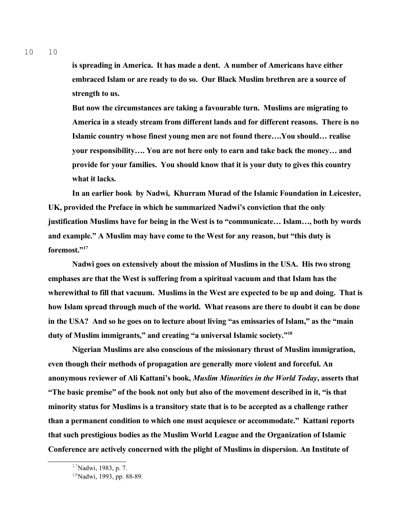**is spreading in America. It has made a dent. A number of Americans have either embraced Islam or are ready to do so. Our Black Muslim brethren are a source of strength to us.** 

**But now the circumstances are taking a favourable turn. Muslims are migrating to America in a steady stream from different lands and for different reasons. There is no Islamic country whose finest young men are not found there….You should… realise your responsibility…. You are not here only to earn and take back the money… and provide for your families. You should know that it is your duty to gives this country what it lacks.**

**In an earlier book by Nadwi, Khurram Murad of the Islamic Foundation in Leicester, UK, provided the Preface in which he summarized Nadwi's conviction that the only justification Muslims have for being in the West is to "communicate… Islam…, both by words and example." A Muslim may have come to the West for any reason, but "this duty is foremost."[17](#page-9-0)** 

**Nadwi goes on extensively about the mission of Muslims in the USA. His two strong emphases are that the West is suffering from a spiritual vacuum and that Islam has the wherewithal to fill that vacuum. Muslims in the West are expected to be up and doing. That is how Islam spread through much of the world. What reasons are there to doubt it can be done in the USA? And so he goes on to lecture about living "as emissaries of Islam," as the "main duty of Muslim immigrants," and creating "a universal Islamic society."[18](#page-9-1)** 

**Nigerian Muslims are also conscious of the missionary thrust of Muslim immigration, even though their methods of propagation are generally more violent and forceful. An anonymous reviewer of Ali Kattani's book,** *Muslim Minorities in the World Today***, asserts that "The basic premise" of the book not only but also of the movement described in it, "is that minority status for Muslims is a transitory state that is to be accepted as a challenge rather than a permanent condition to which one must acquiesce or accommodate." Kattani reports that such prestigious bodies as the Muslim World League and the Organization of Islamic Conference are actively concerned with the plight of Muslims in dispersion. An Institute of** 

<span id="page-9-0"></span><sup>&</sup>lt;sup>17</sup>Nadwi, 1983, p. 7.

<span id="page-9-1"></span><sup>&</sup>lt;sup>18</sup>Nadwi, 1993, pp. 88-89.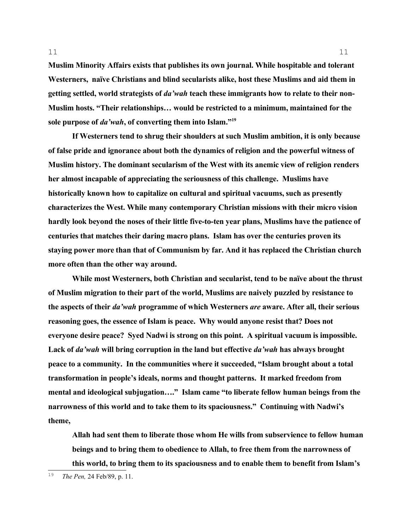**Muslim Minority Affairs exists that publishes its own journal. While hospitable and tolerant Westerners, naïve Christians and blind secularists alike, host these Muslims and aid them in getting settled, world strategists of** *da'wah* **teach these immigrants how to relate to their non-Muslim hosts. "Their relationships… would be restricted to a minimum, maintained for the sole purpose of** *da'wah***, of converting them into Islam."[19](#page-10-0)**

11

**If Westerners tend to shrug their shoulders at such Muslim ambition, it is only because of false pride and ignorance about both the dynamics of religion and the powerful witness of Muslim history. The dominant secularism of the West with its anemic view of religion renders her almost incapable of appreciating the seriousness of this challenge. Muslims have historically known how to capitalize on cultural and spiritual vacuums, such as presently characterizes the West. While many contemporary Christian missions with their micro vision hardly look beyond the noses of their little five-to-ten year plans, Muslims have the patience of centuries that matches their daring macro plans. Islam has over the centuries proven its staying power more than that of Communism by far. And it has replaced the Christian church more often than the other way around.** 

**While most Westerners, both Christian and secularist, tend to be naïve about the thrust of Muslim migration to their part of the world, Muslims are naively puzzled by resistance to the aspects of their** *da'wah* **programme of which Westerners** *are* **aware. After all, their serious reasoning goes, the essence of Islam is peace. Why would anyone resist that? Does not everyone desire peace? Syed Nadwi is strong on this point. A spiritual vacuum is impossible. Lack of** *da'wah* **will bring corruption in the land but effective** *da'wah* **has always brought peace to a community. In the communities where it succeeded, "Islam brought about a total transformation in people's ideals, norms and thought patterns. It marked freedom from**  mental and ideological subjugation...." Islam came "to liberate fellow human beings from the **narrowness of this world and to take them to its spaciousness." Continuing with Nadwi's theme,**

**Allah had sent them to liberate those whom He wills from subservience to fellow human beings and to bring them to obedience to Allah, to free them from the narrowness of this world, to bring them to its spaciousness and to enable them to benefit from Islam's** 

<span id="page-10-0"></span><sup>19</sup> *The Pen,* 24 Feb/89, p. 11.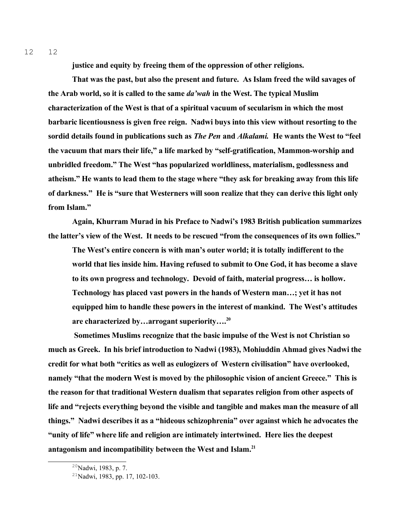**justice and equity by freeing them of the oppression of other religions.**

**That was the past, but also the present and future. As Islam freed the wild savages of the Arab world, so it is called to the same** *da'wah* **in the West. The typical Muslim characterization of the West is that of a spiritual vacuum of secularism in which the most barbaric licentiousness is given free reign. Nadwi buys into this view without resorting to the sordid details found in publications such as** *The Pen* **and** *Alkalami.* **He wants the West to "feel the vacuum that mars their life," a life marked by "self-gratification, Mammon-worship and unbridled freedom." The West "has popularized worldliness, materialism, godlessness and atheism." He wants to lead them to the stage where "they ask for breaking away from this life of darkness." He is "sure that Westerners will soon realize that they can derive this light only from Islam."** 

**Again, Khurram Murad in his Preface to Nadwi's 1983 British publication summarizes the latter's view of the West. It needs to be rescued "from the consequences of its own follies."** 

**The West's entire concern is with man's outer world; it is totally indifferent to the world that lies inside him. Having refused to submit to One God, it has become a slave to its own progress and technology. Devoid of faith, material progress… is hollow. Technology has placed vast powers in the hands of Western man…; yet it has not equipped him to handle these powers in the interest of mankind. The West's attitudes are characterized by…arrogant superiority….[20](#page-11-0)**

 **Sometimes Muslims recognize that the basic impulse of the West is not Christian so much as Greek. In his brief introduction to Nadwi (1983), Mohiuddin Ahmad gives Nadwi the credit for what both "critics as well as eulogizers of Western civilisation" have overlooked, namely "that the modern West is moved by the philosophic vision of ancient Greece." This is the reason for that traditional Western dualism that separates religion from other aspects of life and "rejects everything beyond the visible and tangible and makes man the measure of all things." Nadwi describes it as a "hideous schizophrenia" over against which he advocates the "unity of life" where life and religion are intimately intertwined. Here lies the deepest antagonism and incompatibility between the West and Islam.[21](#page-11-1)** 

<span id="page-11-0"></span><sup>&</sup>lt;sup>20</sup>Nadwi, 1983, p. 7.

<span id="page-11-1"></span><sup>21</sup>Nadwi, 1983, pp. 17, 102-103.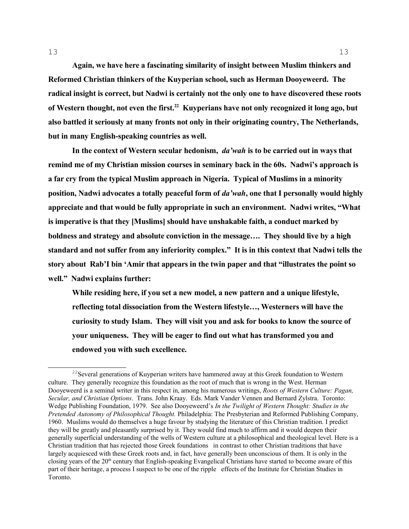**Again, we have here a fascinating similarity of insight between Muslim thinkers and Reformed Christian thinkers of the Kuyperian school, such as Herman Dooyeweerd. The radical insight is correct, but Nadwi is certainly not the only one to have discovered these roots of Western thought, not even the first.[22](#page-12-0) Kuyperians have not only recognized it long ago, but also battled it seriously at many fronts not only in their originating country, The Netherlands, but in many English-speaking countries as well.**

**In the context of Western secular hedonism,** *da'wah* **is to be carried out in ways that remind me of my Christian mission courses in seminary back in the 60s. Nadwi's approach is a far cry from the typical Muslim approach in Nigeria. Typical of Muslims in a minority position, Nadwi advocates a totally peaceful form of** *da'wah***, one that I personally would highly appreciate and that would be fully appropriate in such an environment. Nadwi writes, "What is imperative is that they [Muslims] should have unshakable faith, a conduct marked by boldness and strategy and absolute conviction in the message…. They should live by a high standard and not suffer from any inferiority complex." It is in this context that Nadwi tells the story about Rab'I bin 'Amir that appears in the twin paper and that "illustrates the point so well." Nadwi explains further:** 

**While residing here, if you set a new model, a new pattern and a unique lifestyle, reflecting total dissociation from the Western lifestyle…, Westerners will have the curiosity to study Islam. They will visit you and ask for books to know the source of your uniqueness. They will be eager to find out what has transformed you and endowed you with such excellence.**

<span id="page-12-0"></span><sup>&</sup>lt;sup>22</sup>Several generations of Kuyperian writers have hammered away at this Greek foundation to Western culture. They generally recognize this foundation as the root of much that is wrong in the West. Herman Dooyeweerd is a seminal writer in this respect in, among his numerous writings, *Roots of Western Culture: Pagan, Secular, and Christian Options*. Trans. John Kraay. Eds. Mark Vander Vennen and Bernard Zylstra. Toronto: Wedge Publishing Foundation, 1979. See also Dooyeweerd's *In the Twilight of Western Thought: Studies in the Pretended Autonomy of Philosophical Thought.* Philadelphia: The Presbyterian and Reformed Publishing Company, 1960. Muslims would do themselves a huge favour by studying the literature of this Christian tradition. I predict they will be greatly and pleasantly surprised by it. They would find much to affirm and it would deepen their generally superficial understanding of the wells of Western culture at a philosophical and theological level. Here is a Christian tradition that has rejected those Greek foundations in contrast to other Christian traditions that have largely acquiesced with these Greek roots and, in fact, have generally been unconscious of them. It is only in the closing years of the  $20<sup>th</sup>$  century that English-speaking Evangelical Christians have started to become aware of this part of their heritage, a process I suspect to be one of the ripple effects of the Institute for Christian Studies in Toronto.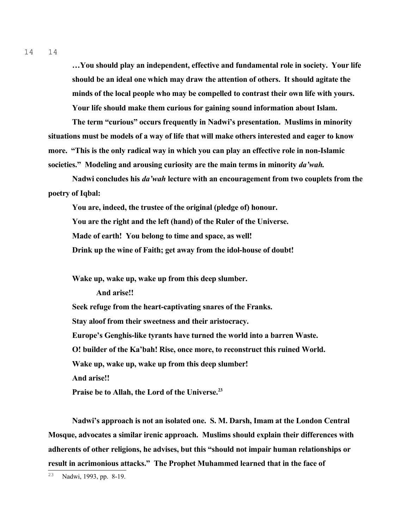14 14

> **…You should play an independent, effective and fundamental role in society. Your life should be an ideal one which may draw the attention of others. It should agitate the minds of the local people who may be compelled to contrast their own life with yours. Your life should make them curious for gaining sound information about Islam.**

**The term "curious" occurs frequently in Nadwi's presentation. Muslims in minority situations must be models of a way of life that will make others interested and eager to know more. "This is the only radical way in which you can play an effective role in non-Islamic societies." Modeling and arousing curiosity are the main terms in minority** *da'wah.*

**Nadwi concludes his** *da'wah* **lecture with an encouragement from two couplets from the poetry of Iqbal:**

**You are, indeed, the trustee of the original (pledge of) honour. You are the right and the left (hand) of the Ruler of the Universe. Made of earth! You belong to time and space, as well! Drink up the wine of Faith; get away from the idol-house of doubt!**

**Wake up, wake up, wake up from this deep slumber.**

**And arise!!**

**Seek refuge from the heart-captivating snares of the Franks. Stay aloof from their sweetness and their aristocracy. Europe's Genghis-like tyrants have turned the world into a barren Waste. O! builder of the Ka'bah! Rise, once more, to reconstruct this ruined World. Wake up, wake up, wake up from this deep slumber! And arise!! Praise be to Allah, the Lord of the Universe.[23](#page-13-0)**

**Nadwi's approach is not an isolated one. S. M. Darsh, Imam at the London Central Mosque, advocates a similar irenic approach. Muslims should explain their differences with adherents of other religions, he advises, but this "should not impair human relationships or result in acrimonious attacks." The Prophet Muhammed learned that in the face of** 

<span id="page-13-0"></span><sup>23</sup> Nadwi, 1993, pp. 8-19.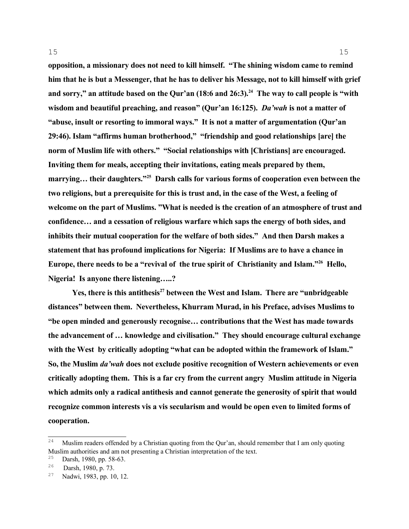**opposition, a missionary does not need to kill himself. "The shining wisdom came to remind him that he is but a Messenger, that he has to deliver his Message, not to kill himself with grief and sorry," an attitude based on the Qur'an (18:6 and 26:3).[24](#page-14-0) The way to call people is "with wisdom and beautiful preaching, and reason" (Qur'an 16:125).** *Da'wah* **is not a matter of "abuse, insult or resorting to immoral ways." It is not a matter of argumentation (Qur'an 29:46). Islam "affirms human brotherhood," "friendship and good relationships [are] the norm of Muslim life with others." "Social relationships with [Christians] are encouraged. Inviting them for meals, accepting their invitations, eating meals prepared by them, marrying… their daughters."[25](#page-14-1) Darsh calls for various forms of cooperation even between the two religions, but a prerequisite for this is trust and, in the case of the West, a feeling of welcome on the part of Muslims. "What is needed is the creation of an atmosphere of trust and confidence… and a cessation of religious warfare which saps the energy of both sides, and inhibits their mutual cooperation for the welfare of both sides." And then Darsh makes a statement that has profound implications for Nigeria: If Muslims are to have a chance in Europe, there needs to be a "revival of the true spirit of Christianity and Islam."[26](#page-14-2) Hello, Nigeria! Is anyone there listening…..?**

15

**Yes, there is this antithesis[27](#page-14-3) between the West and Islam. There are "unbridgeable distances" between them. Nevertheless, Khurram Murad, in his Preface, advises Muslims to "be open minded and generously recognise… contributions that the West has made towards the advancement of … knowledge and civilisation." They should encourage cultural exchange with the West by critically adopting "what can be adopted within the framework of Islam." So, the Muslim** *da'wah* **does not exclude positive recognition of Western achievements or even critically adopting them. This is a far cry from the current angry Muslim attitude in Nigeria which admits only a radical antithesis and cannot generate the generosity of spirit that would recognize common interests vis a vis secularism and would be open even to limited forms of cooperation.**

<span id="page-14-0"></span><sup>24</sup> Muslim readers offended by a Christian quoting from the Qur'an, should remember that I am only quoting Muslim authorities and am not presenting a Christian interpretation of the text.

<span id="page-14-1"></span><sup>25</sup> <sup>25</sup> Darsh, 1980, pp. 58-63.

<span id="page-14-2"></span>Darsh, 1980, p. 73.

<span id="page-14-3"></span><sup>27</sup> Nadwi, 1983, pp. 10, 12.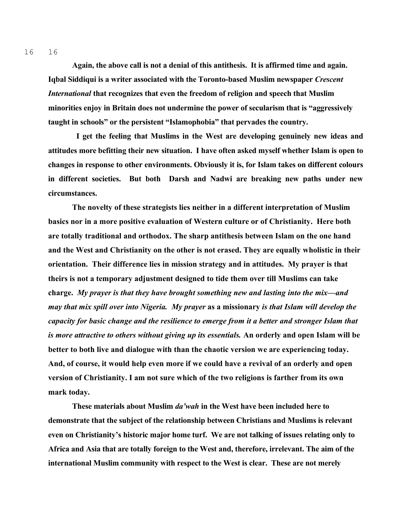**Again, the above call is not a denial of this antithesis. It is affirmed time and again. Iqbal Siddiqui is a writer associated with the Toronto-based Muslim newspaper** *Crescent International* **that recognizes that even the freedom of religion and speech that Muslim minorities enjoy in Britain does not undermine the power of secularism that is "aggressively taught in schools" or the persistent "Islamophobia" that pervades the country.**

 **I get the feeling that Muslims in the West are developing genuinely new ideas and attitudes more befitting their new situation. I have often asked myself whether Islam is open to changes in response to other environments. Obviously it is, for Islam takes on different colours in different societies. But both Darsh and Nadwi are breaking new paths under new circumstances.** 

**The novelty of these strategists lies neither in a different interpretation of Muslim basics nor in a more positive evaluation of Western culture or of Christianity. Here both are totally traditional and orthodox. The sharp antithesis between Islam on the one hand and the West and Christianity on the other is not erased. They are equally wholistic in their orientation. Their difference lies in mission strategy and in attitudes. My prayer is that theirs is not a temporary adjustment designed to tide them over till Muslims can take charge.** *My prayer is that they have brought something new and lasting into the mix—and may that mix spill over into Nigeria.**My prayer* **as a missionary** *is that Islam will develop the capacity for basic change and the resilience to emerge from it a better and stronger Islam that is more attractive to others without giving up its essentials.* **An orderly and open Islam will be better to both live and dialogue with than the chaotic version we are experiencing today. And, of course, it would help even more if we could have a revival of an orderly and open version of Christianity. I am not sure which of the two religions is farther from its own mark today.** 

**These materials about Muslim** *da'wah* **in the West have been included here to demonstrate that the subject of the relationship between Christians and Muslims is relevant even on Christianity's historic major home turf. We are not talking of issues relating only to Africa and Asia that are totally foreign to the West and, therefore, irrelevant. The aim of the international Muslim community with respect to the West is clear. These are not merely**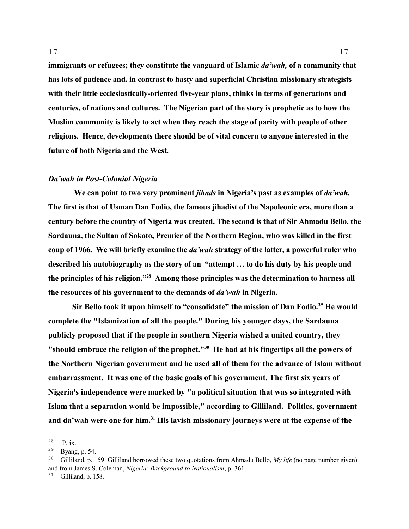**immigrants or refugees; they constitute the vanguard of Islamic** *da'wah,* **of a community that has lots of patience and, in contrast to hasty and superficial Christian missionary strategists with their little ecclesiastically-oriented five-year plans, thinks in terms of generations and centuries, of nations and cultures. The Nigerian part of the story is prophetic as to how the** 

**Muslim community is likely to act when they reach the stage of parity with people of other religions. Hence, developments there should be of vital concern to anyone interested in the future of both Nigeria and the West.** 

## *Da'wah in Post-Colonial Nigeria*

 **We can point to two very prominent** *jihads* **in Nigeria's past as examples of** *da'wah.* **The first is that of Usman Dan Fodio, the famous jihadist of the Napoleonic era, more than a century before the country of Nigeria was created. The second is that of Sir Ahmadu Bello, the Sardauna, the Sultan of Sokoto, Premier of the Northern Region, who was killed in the first coup of 1966. We will briefly examine the** *da'wah* **strategy of the latter, a powerful ruler who described his autobiography as the story of an "attempt … to do his duty by his people and the principles of his religion."[28](#page-16-0) Among those principles was the determination to harness all the resources of his government to the demands of** *da'wah* **in Nigeria.** 

**Sir Bello took it upon himself to "consolidate" the mission of Dan Fodio.[29](#page-16-1) He would complete the "Islamization of all the people." During his younger days, the Sardauna publicly proposed that if the people in southern Nigeria wished a united country, they "should embrace the religion of the prophet."[30](#page-16-2) He had at his fingertips all the powers of the Northern Nigerian government and he used all of them for the advance of Islam without embarrassment. It was one of the basic goals of his government. The first six years of Nigeria's independence were marked by "a political situation that was so integrated with Islam that a separation would be impossible," according to Gilliland. Politics, government and da'wah were one for him.[31](#page-16-3) His lavish missionary journeys were at the expense of the** 

<span id="page-16-0"></span><sup>28</sup> P. ix.

<span id="page-16-1"></span><sup>29</sup> Byang, p. 54.

<span id="page-16-2"></span><sup>30</sup> Gilliland, p. 159. Gilliland borrowed these two quotations from Ahmadu Bello, *My life* (no page number given) and from James S. Coleman, *Nigeria: Background to Nationalism*, p. 361.

<span id="page-16-3"></span> $31$  Gilliland, p. 158.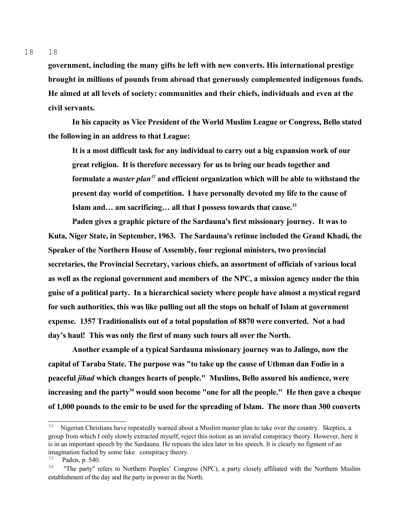18 18

> **government, including the many gifts he left with new converts. His international prestige brought in millions of pounds from abroad that generously complemented indigenous funds. He aimed at all levels of society: communities and their chiefs, individuals and even at the civil servants.**

> **In his capacity as Vice President of the World Muslim League or Congress, Bello stated the following in an address to that League:**

**It is a most difficult task for any individual to carry out a big expansion work of our great religion. It is therefore necessary for us to bring our heads together and formulate a** *master plan[32](#page-17-0)* **and efficient organization which will be able to withstand the present day world of competition. I have personally devoted my life to the cause of Islam and… am sacrificing… all that I possess towards that cause.[33](#page-17-1)**

**Paden gives a graphic picture of the Sardauna's first missionary journey. It was to Kuta, Niger State, in September, 1963. The Sardauna's retinue included the Grand Khadi, the Speaker of the Northern House of Assembly, four regional ministers, two provincial secretaries, the Provincial Secretary, various chiefs, an assortment of officials of various local as well as the regional government and members of the NPC, a mission agency under the thin guise of a political party. In a hierarchical society where people have almost a mystical regard for such authorities, this was like pulling out all the stops on behalf of Islam at government expense. 1357 Traditionalists out of a total population of 8870 were converted. Not a bad day's haul! This was only the first of many such tours all over the North.** 

**Another example of a typical Sardauna missionary journey was to Jalingo, now the capital of Taraba State. The purpose was "to take up the cause of Uthman dan Fodio in a peaceful** *jihad* **which changes hearts of people." Muslims, Bello assured his audience, were increasing and the party[34](#page-17-2) would soon become "one for all the people." He then gave a cheque of 1,000 pounds to the emir to be used for the spreading of Islam. The more than 300 converts** 

<span id="page-17-0"></span><sup>32</sup> Nigerian Christians have repeatedly warned about a Muslim master plan to take over the country. Skeptics, a group from which I only slowly extracted myself, reject this notion as an invalid conspiracy theory. However, here it is in an important speech by the Sardauna. He repeats the idea later in his speech. It is clearly no figment of an imagination fueled by some fake conspiracy theory.

<span id="page-17-1"></span><sup>33</sup> Paden, p. 540.

<span id="page-17-2"></span><sup>&</sup>lt;sup>34</sup> "The party" refers to Northern Peoples' Congress (NPC), a party closely affiliated with the Northern Muslim establishment of the day and the party in power in the North.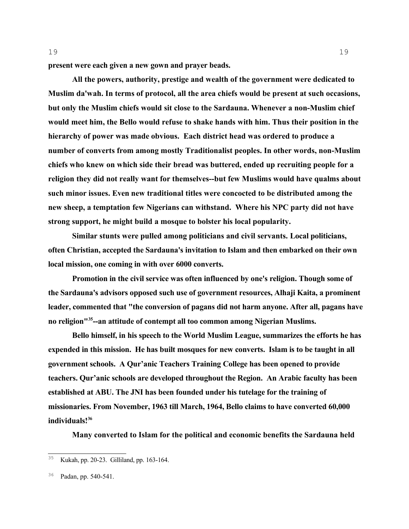**present were each given a new gown and prayer beads.**

**All the powers, authority, prestige and wealth of the government were dedicated to Muslim da'wah. In terms of protocol, all the area chiefs would be present at such occasions, but only the Muslim chiefs would sit close to the Sardauna. Whenever a non-Muslim chief would meet him, the Bello would refuse to shake hands with him. Thus their position in the hierarchy of power was made obvious. Each district head was ordered to produce a number of converts from among mostly Traditionalist peoples. In other words, non-Muslim chiefs who knew on which side their bread was buttered, ended up recruiting people for a religion they did not really want for themselves--but few Muslims would have qualms about such minor issues. Even new traditional titles were concocted to be distributed among the new sheep, a temptation few Nigerians can withstand. Where his NPC party did not have strong support, he might build a mosque to bolster his local popularity.** 

**Similar stunts were pulled among politicians and civil servants. Local politicians, often Christian, accepted the Sardauna's invitation to Islam and then embarked on their own local mission, one coming in with over 6000 converts.** 

**Promotion in the civil service was often influenced by one's religion. Though some of the Sardauna's advisors opposed such use of government resources, Alhaji Kaita, a prominent leader, commented that "the conversion of pagans did not harm anyone. After all, pagans have no religion"[35](#page-18-0)--an attitude of contempt all too common among Nigerian Muslims.**

**Bello himself, in his speech to the World Muslim League, summarizes the efforts he has expended in this mission. He has built mosques for new converts. Islam is to be taught in all government schools. A Qur'anic Teachers Training College has been opened to provide teachers. Qur'anic schools are developed throughout the Region. An Arabic faculty has been established at ABU. The JNI has been founded under his tutelage for the training of missionaries. From November, 1963 till March, 1964, Bello claims to have converted 60,000 individuals![36](#page-18-1)** 

**Many converted to Islam for the political and economic benefits the Sardauna held** 

<span id="page-18-0"></span><sup>35</sup> Kukah, pp. 20-23. Gilliland, pp. 163-164.

<span id="page-18-1"></span><sup>36</sup> Padan, pp. 540-541.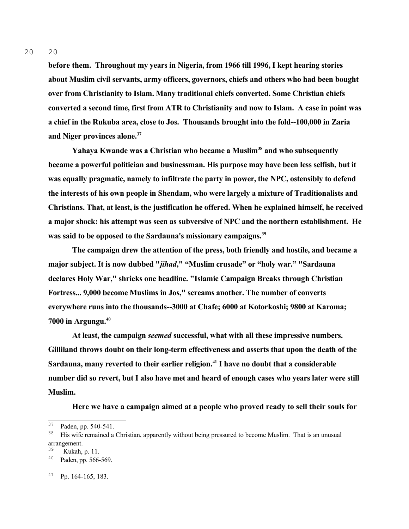20 20

> **before them. Throughout my years in Nigeria, from 1966 till 1996, I kept hearing stories about Muslim civil servants, army officers, governors, chiefs and others who had been bought over from Christianity to Islam. Many traditional chiefs converted. Some Christian chiefs converted a second time, first from ATR to Christianity and now to Islam. A case in point was a chief in the Rukuba area, close to Jos. Thousands brought into the fold--100,000 in Zaria and Niger provinces alone.[37](#page-19-0)**

> **Yahaya Kwande was a Christian who became a Muslim[38](#page-19-1) and who subsequently became a powerful politician and businessman. His purpose may have been less selfish, but it was equally pragmatic, namely to infiltrate the party in power, the NPC, ostensibly to defend the interests of his own people in Shendam, who were largely a mixture of Traditionalists and Christians. That, at least, is the justification he offered. When he explained himself, he received a major shock: his attempt was seen as subversive of NPC and the northern establishment. He was said to be opposed to the Sardauna's missionary campaigns.[39](#page-19-2)**

**The campaign drew the attention of the press, both friendly and hostile, and became a major subject. It is now dubbed "***jihad***," "Muslim crusade" or "holy war." "Sardauna declares Holy War," shrieks one headline. "Islamic Campaign Breaks through Christian Fortress... 9,000 become Muslims in Jos," screams another. The number of converts everywhere runs into the thousands--3000 at Chafe; 6000 at Kotorkoshi; 9800 at Karoma; 7000 in Argungu.[40](#page-19-3)**

**At least, the campaign** *seemed* **successful, what with all these impressive numbers. Gilliland throws doubt on their long-term effectiveness and asserts that upon the death of the Sardauna, many reverted to their earlier religion.[41](#page-19-4) I have no doubt that a considerable number did so revert, but I also have met and heard of enough cases who years later were still Muslim.**

**Here we have a campaign aimed at a people who proved ready to sell their souls for** 

<span id="page-19-0"></span><sup>37</sup> Paden, pp. 540-541.

<span id="page-19-1"></span><sup>38</sup> His wife remained a Christian, apparently without being pressured to become Muslim. That is an unusual arrangement.

<span id="page-19-2"></span> $\frac{39}{40}$  Kukah, p. 11.

<span id="page-19-3"></span>Paden, pp. 566-569.

<span id="page-19-4"></span><sup>41</sup> Pp. 164-165, 183.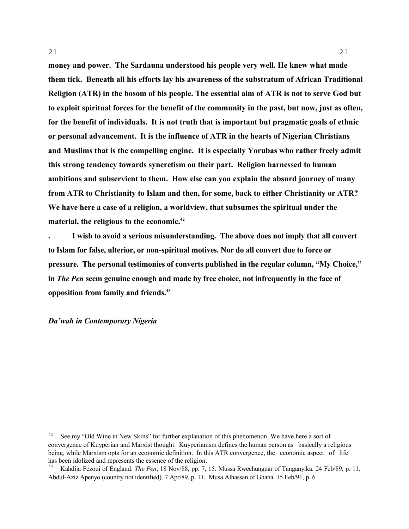**money and power. The Sardauna understood his people very well. He knew what made them tick. Beneath all his efforts lay his awareness of the substratum of African Traditional Religion (ATR) in the bosom of his people. The essential aim of ATR is not to serve God but to exploit spiritual forces for the benefit of the community in the past, but now, just as often, for the benefit of individuals. It is not truth that is important but pragmatic goals of ethnic or personal advancement. It is the influence of ATR in the hearts of Nigerian Christians and Muslims that is the compelling engine. It is especially Yorubas who rather freely admit this strong tendency towards syncretism on their part. Religion harnessed to human ambitions and subservient to them. How else can you explain the absurd journey of many from ATR to Christianity to Islam and then, for some, back to either Christianity or ATR? We have here a case of a religion, a worldview, that subsumes the spiritual under the material, the religious to the economic.[42](#page-20-0)**

21

**. I wish to avoid a serious misunderstanding. The above does not imply that all convert to Islam for false, ulterior, or non-spiritual motives. Nor do all convert due to force or pressure. The personal testimonies of converts published in the regular column, "My Choice," in** *The Pen* **seem genuine enough and made by free choice, not infrequently in the face of opposition from family and friends.[43](#page-20-1)**

*Da'wah in Contemporary Nigeria* 

<span id="page-20-0"></span><sup>42</sup> See my "Old Wine in New Skins" for further explanation of this phenomenon. We have here a sort of convergence of Kuyperian and Marxist thought. Kuyperianism defines the human person as basically a religious being, while Marxism opts for an economic definition. In this ATR convergence, the economic aspect of life has been idolized and represents the essence of the religion.

<span id="page-20-1"></span><sup>43</sup> Kahdija Fezoui of England. *The Pen*, 18 Nov/88, pp. 7, 15. Mussa Rwechunguar of Tanganyika. 24 Feb/89, p. 11. Abdul-Aziz Apenyo (country not identified). 7 Apr/89, p. 11. Musa Alhassan of Ghana. 15 Feb/91, p. 6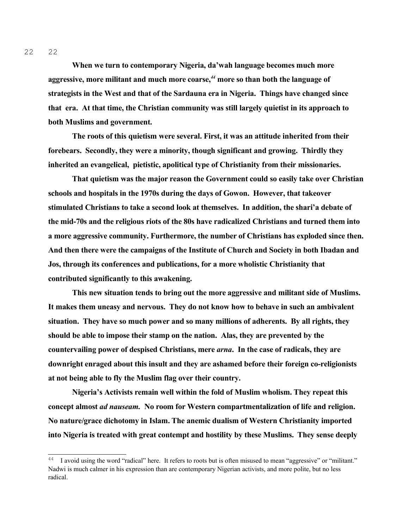**When we turn to contemporary Nigeria, da'wah language becomes much more aggressive, more militant and much more coarse,***[44](#page-21-0)* **more so than both the language of strategists in the West and that of the Sardauna era in Nigeria. Things have changed since that era. At that time, the Christian community was still largely quietist in its approach to both Muslims and government.** 

**The roots of this quietism were several. First, it was an attitude inherited from their forebears. Secondly, they were a minority, though significant and growing. Thirdly they inherited an evangelical, pietistic, apolitical type of Christianity from their missionaries.**

**That quietism was the major reason the Government could so easily take over Christian schools and hospitals in the 1970s during the days of Gowon. However, that takeover stimulated Christians to take a second look at themselves. In addition, the shari'a debate of the mid-70s and the religious riots of the 80s have radicalized Christians and turned them into a more aggressive community. Furthermore, the number of Christians has exploded since then. And then there were the campaigns of the Institute of Church and Society in both Ibadan and Jos, through its conferences and publications, for a more wholistic Christianity that contributed significantly to this awakening.** 

**This new situation tends to bring out the more aggressive and militant side of Muslims. It makes them uneasy and nervous. They do not know how to behave in such an ambivalent situation. They have so much power and so many millions of adherents. By all rights, they should be able to impose their stamp on the nation. Alas, they are prevented by the countervailing power of despised Christians, mere** *arna***. In the case of radicals, they are downright enraged about this insult and they are ashamed before their foreign co-religionists at not being able to fly the Muslim flag over their country.**

**Nigeria's Activists remain well within the fold of Muslim wholism. They repeat this concept almost** *ad nauseam.* **No room for Western compartmentalization of life and religion. No nature/grace dichotomy in Islam. The anemic dualism of Western Christianity imported into Nigeria is treated with great contempt and hostility by these Muslims. They sense deeply** 

<span id="page-21-0"></span><sup>&</sup>lt;sup>44</sup> I avoid using the word "radical" here. It refers to roots but is often misused to mean "aggressive" or "militant." Nadwi is much calmer in his expression than are contemporary Nigerian activists, and more polite, but no less radical.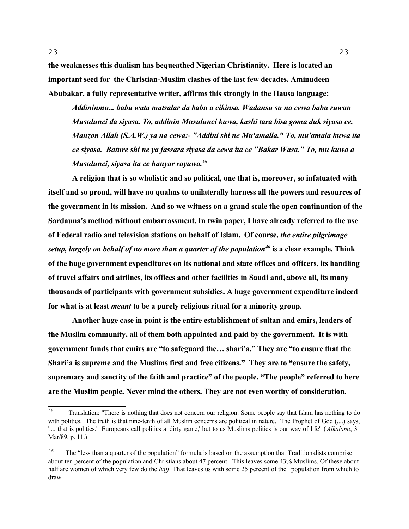**the weaknesses this dualism has bequeathed Nigerian Christianity. Here is located an important seed for the Christian-Muslim clashes of the last few decades. Aminudeen Abubakar, a fully representative writer, affirms this strongly in the Hausa language:**

*Addininmu... babu wata matsalar da babu a cikinsa. Wadansu su na cewa babu ruwan Musulunci da siyasa. To, addinin Musulunci kuwa, kashi tara bisa goma duk siyasa ce. Manzon Allah (S.A.W.) ya na cewa:- "Addini shi ne Mu'amalla." To, mu'amala kuwa ita ce siyasa. Bature shi ne ya fassara siyasa da cewa ita ce "Bakar Wasa." To, mu kuwa a Musulunci, siyasa ita ce hanyar rayuwa.***[45](#page-22-0)** 

**A religion that is so wholistic and so political, one that is, moreover, so infatuated with itself and so proud, will have no qualms to unilaterally harness all the powers and resources of the government in its mission. And so we witness on a grand scale the open continuation of the Sardauna's method without embarrassment. In twin paper, I have already referred to the use of Federal radio and television stations on behalf of Islam. Of course,** *the entire pilgrimage setup, largely on behalf of no more than a quarter of the population[46](#page-22-1)* **is a clear example. Think of the huge government expenditures on its national and state offices and officers, its handling of travel affairs and airlines, its offices and other facilities in Saudi and, above all, its many thousands of participants with government subsidies. A huge government expenditure indeed for what is at least** *meant* **to be a purely religious ritual for a minority group.**

**Another huge case in point is the entire establishment of sultan and emirs, leaders of the Muslim community, all of them both appointed and paid by the government. It is with government funds that emirs are "to safeguard the… shari'a." They are "to ensure that the Shari'a is supreme and the Muslims first and free citizens." They are to "ensure the safety, supremacy and sanctity of the faith and practice" of the people. "The people" referred to here are the Muslim people. Never mind the others. They are not even worthy of consideration.** 

<span id="page-22-0"></span><sup>45</sup> Translation: "There is nothing that does not concern our religion. Some people say that Islam has nothing to do with politics. The truth is that nine-tenth of all Muslim concerns are political in nature. The Prophet of God (....) says, '.... that is politics.' Europeans call politics a 'dirty game,' but to us Muslims politics is our way of life" (*Alkalami*, 31 Mar/89, p. 11.)

<span id="page-22-1"></span><sup>46</sup> The "less than a quarter of the population" formula is based on the assumption that Traditionalists comprise about ten percent of the population and Christians about 47 percent. This leaves some 43% Muslims. Of these about half are women of which very few do the *hajj*. That leaves us with some 25 percent of the population from which to draw.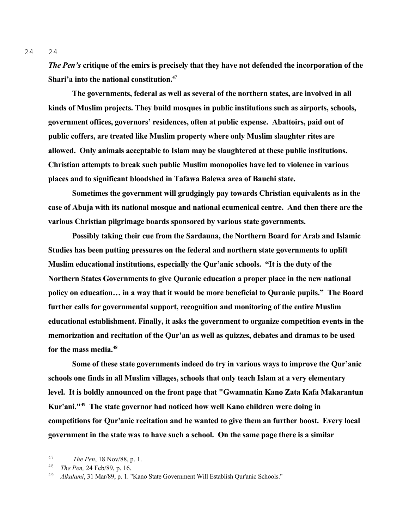*The Pen's* **critique of the emirs is precisely that they have not defended the incorporation of the Shari'a into the national constitution.[47](#page-23-0)**

**The governments, federal as well as several of the northern states, are involved in all kinds of Muslim projects. They build mosques in public institutions such as airports, schools, government offices, governors' residences, often at public expense. Abattoirs, paid out of public coffers, are treated like Muslim property where only Muslim slaughter rites are allowed. Only animals acceptable to Islam may be slaughtered at these public institutions. Christian attempts to break such public Muslim monopolies have led to violence in various places and to significant bloodshed in Tafawa Balewa area of Bauchi state.** 

**Sometimes the government will grudgingly pay towards Christian equivalents as in the case of Abuja with its national mosque and national ecumenical centre. And then there are the various Christian pilgrimage boards sponsored by various state governments.**

**Possibly taking their cue from the Sardauna, the Northern Board for Arab and Islamic Studies has been putting pressures on the federal and northern state governments to uplift Muslim educational institutions, especially the Qur'anic schools. "It is the duty of the Northern States Governments to give Quranic education a proper place in the new national policy on education… in a way that it would be more beneficial to Quranic pupils." The Board further calls for governmental support, recognition and monitoring of the entire Muslim educational establishment. Finally, it asks the government to organize competition events in the memorization and recitation of the Qur'an as well as quizzes, debates and dramas to be used for the mass media.[48](#page-23-1)** 

**Some of these state governments indeed do try in various ways to improve the Qur'anic schools one finds in all Muslim villages, schools that only teach Islam at a very elementary level. It is boldly announced on the front page that "Gwamnatin Kano Zata Kafa Makarantun Kur'ani."[49](#page-23-2) The state governor had noticed how well Kano children were doing in competitions for Qur'anic recitation and he wanted to give them an further boost. Every local government in the state was to have such a school. On the same page there is a similar** 

<span id="page-23-0"></span><sup>47</sup> *The Pen*, 18 Nov/88, p. 1.

<span id="page-23-1"></span><sup>48</sup> <sup>48</sup> *The Pen,* 24 Feb/89, p. 16.<br><sup>49</sup> *Alkalami*, 31 Mar/89, p. 1.

<span id="page-23-2"></span><sup>49</sup> *Alkalami*, 31 Mar/89, p. 1. "Kano State Government Will Establish Qur'anic Schools."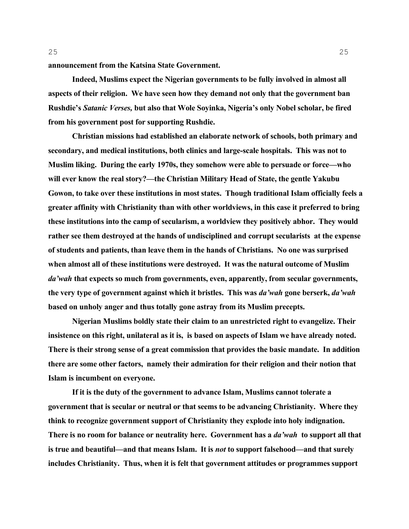**announcement from the Katsina State Government.** 

**Indeed, Muslims expect the Nigerian governments to be fully involved in almost all aspects of their religion. We have seen how they demand not only that the government ban Rushdie's** *Satanic Verses,* **but also that Wole Soyinka, Nigeria's only Nobel scholar, be fired from his government post for supporting Rushdie.**

**Christian missions had established an elaborate network of schools, both primary and secondary, and medical institutions, both clinics and large-scale hospitals. This was not to Muslim liking. During the early 1970s, they somehow were able to persuade or force—who will ever know the real story?—the Christian Military Head of State, the gentle Yakubu Gowon, to take over these institutions in most states. Though traditional Islam officially feels a greater affinity with Christianity than with other worldviews, in this case it preferred to bring these institutions into the camp of secularism, a worldview they positively abhor. They would rather see them destroyed at the hands of undisciplined and corrupt secularists at the expense of students and patients, than leave them in the hands of Christians. No one was surprised when almost all of these institutions were destroyed. It was the natural outcome of Muslim**  *da'wah* **that expects so much from governments, even, apparently, from secular governments, the very type of government against which it bristles. This was** *da'wah* **gone berserk,** *da'wah* **based on unholy anger and thus totally gone astray from its Muslim precepts.** 

**Nigerian Muslims boldly state their claim to an unrestricted right to evangelize. Their insistence on this right, unilateral as it is, is based on aspects of Islam we have already noted. There is their strong sense of a great commission that provides the basic mandate. In addition there are some other factors, namely their admiration for their religion and their notion that Islam is incumbent on everyone.**

**If it is the duty of the government to advance Islam, Muslims cannot tolerate a government that is secular or neutral or that seems to be advancing Christianity. Where they think to recognize government support of Christianity they explode into holy indignation. There is no room for balance or neutrality here. Government has a** *da'wah* **to support all that is true and beautiful—and that means Islam. It is** *not* **to support falsehood—and that surely includes Christianity. Thus, when it is felt that government attitudes or programmes support**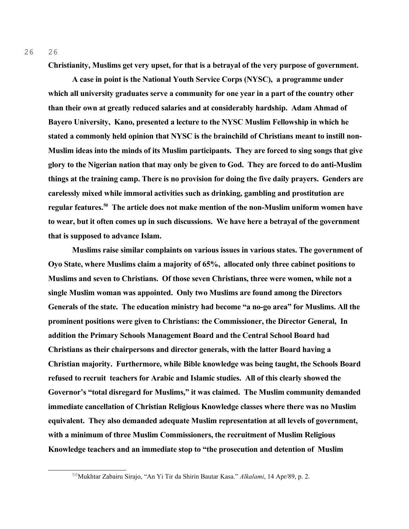26 26

**Christianity, Muslims get very upset, for that is a betrayal of the very purpose of government.** 

**A case in point is the National Youth Service Corps (NYSC), a programme under which all university graduates serve a community for one year in a part of the country other than their own at greatly reduced salaries and at considerably hardship. Adam Ahmad of Bayero University, Kano, presented a lecture to the NYSC Muslim Fellowship in which he stated a commonly held opinion that NYSC is the brainchild of Christians meant to instill non-Muslim ideas into the minds of its Muslim participants. They are forced to sing songs that give glory to the Nigerian nation that may only be given to God. They are forced to do anti-Muslim things at the training camp. There is no provision for doing the five daily prayers. Genders are carelessly mixed while immoral activities such as drinking, gambling and prostitution are regular features.[50](#page-25-0) The article does not make mention of the non-Muslim uniform women have to wear, but it often comes up in such discussions. We have here a betrayal of the government that is supposed to advance Islam.** 

**Muslims raise similar complaints on various issues in various states. The government of Oyo State, where Muslims claim a majority of 65%, allocated only three cabinet positions to Muslims and seven to Christians. Of those seven Christians, three were women, while not a single Muslim woman was appointed. Only two Muslims are found among the Directors Generals of the state. The education ministry had become "a no-go area" for Muslims. All the prominent positions were given to Christians: the Commissioner, the Director General, In addition the Primary Schools Management Board and the Central School Board had Christians as their chairpersons and director generals, with the latter Board having a Christian majority. Furthermore, while Bible knowledge was being taught, the Schools Board refused to recruit teachers for Arabic and Islamic studies. All of this clearly showed the Governor's "total disregard for Muslims," it was claimed. The Muslim community demanded immediate cancellation of Christian Religious Knowledge classes where there was no Muslim equivalent. They also demanded adequate Muslim representation at all levels of government, with a minimum of three Muslim Commissioners, the recruitment of Muslim Religious Knowledge teachers and an immediate stop to "the prosecution and detention of Muslim** 

<span id="page-25-0"></span><sup>50</sup>Mukhtar Zabairu Sirajo, "An Yi Tir da Shirin Bautar Kasa." *Alkalami*, 14 Apr/89, p. 2.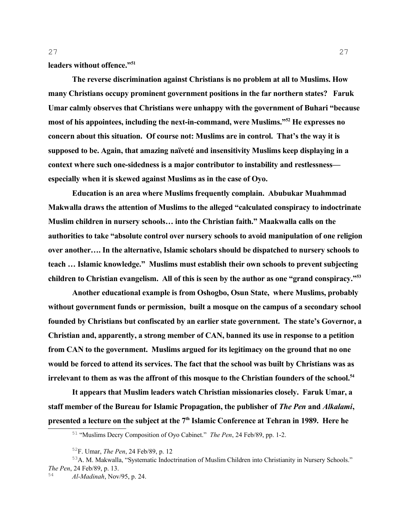**leaders without offence."[51](#page-26-0)** 

**The reverse discrimination against Christians is no problem at all to Muslims. How many Christians occupy prominent government positions in the far northern states? Faruk Umar calmly observes that Christians were unhappy with the government of Buhari "because most of his appointees, including the next-in-command, were Muslims."[52](#page-26-1) He expresses no concern about this situation. Of course not: Muslims are in control. That's the way it is supposed to be. Again, that amazing naïveté and insensitivity Muslims keep displaying in a context where such one-sidedness is a major contributor to instability and restlessness especially when it is skewed against Muslims as in the case of Oyo.** 

**Education is an area where Muslims frequently complain. Abubukar Muahmmad Makwalla draws the attention of Muslims to the alleged "calculated conspiracy to indoctrinate Muslim children in nursery schools… into the Christian faith." Maakwalla calls on the authorities to take "absolute control over nursery schools to avoid manipulation of one religion over another…. In the alternative, Islamic scholars should be dispatched to nursery schools to teach … Islamic knowledge." Muslims must establish their own schools to prevent subjecting children to Christian evangelism. All of this is seen by the author as one "grand conspiracy."[53](#page-26-2)**

**Another educational example is from Oshogbo, Osun State, where Muslims, probably without government funds or permission, built a mosque on the campus of a secondary school founded by Christians but confiscated by an earlier state government. The state's Governor, a Christian and, apparently, a strong member of CAN, banned its use in response to a petition from CAN to the government. Muslims argued for its legitimacy on the ground that no one would be forced to attend its services. The fact that the school was built by Christians was as irrelevant to them as was the affront of this mosque to the Christian founders of the school.[54](#page-26-3)**

**It appears that Muslim leaders watch Christian missionaries closely. Faruk Umar, a staff member of the Bureau for Islamic Propagation, the publisher of** *The Pen* **and** *Alkalami***, presented a lecture on the subject at the 7th Islamic Conference at Tehran in 1989. Here he** 

<span id="page-26-0"></span><sup>51</sup> "Muslims Decry Composition of Oyo Cabinet." *The Pen*, 24 Feb/89, pp. 1-2.

<span id="page-26-2"></span><span id="page-26-1"></span><sup>52</sup>F. Umar, *The Pen*, 24 Feb/89, p. 12

<sup>53</sup>A. M. Makwalla, "Systematic Indoctrination of Muslim Children into Christianity in Nursery Schools." *The Pen*, 24 Feb/89, p. 13.

<span id="page-26-3"></span><sup>54</sup> *Al-Madinah*, Nov/95, p. 24.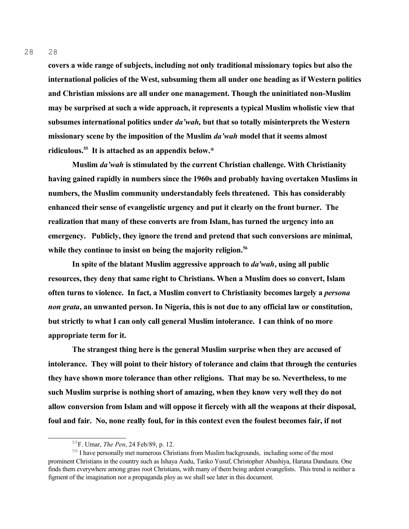**covers a wide range of subjects, including not only traditional missionary topics but also the international policies of the West, subsuming them all under one heading as if Western politics and Christian missions are all under one management. Though the uninitiated non-Muslim may be surprised at such a wide approach, it represents a typical Muslim wholistic view that subsumes international politics under** *da'wah,* **but that so totally misinterprets the Western missionary scene by the imposition of the Muslim** *da'wah* **model that it seems almost ridiculous.[55](#page-27-0) It is attached as an appendix below.\*** 

**Muslim** *da'wah* **is stimulated by the current Christian challenge. With Christianity having gained rapidly in numbers since the 1960s and probably having overtaken Muslims in numbers, the Muslim community understandably feels threatened. This has considerably enhanced their sense of evangelistic urgency and put it clearly on the front burner. The realization that many of these converts are from Islam, has turned the urgency into an emergency. Publicly, they ignore the trend and pretend that such conversions are minimal, while they continue to insist on being the majority religion.[56](#page-27-1)** 

**In spite of the blatant Muslim aggressive approach to** *da'wah***, using all public resources, they deny that same right to Christians. When a Muslim does so convert, Islam often turns to violence. In fact, a Muslim convert to Christianity becomes largely a** *persona non grata***, an unwanted person. In Nigeria, this is not due to any official law or constitution, but strictly to what I can only call general Muslim intolerance. I can think of no more appropriate term for it.** 

**The strangest thing here is the general Muslim surprise when they are accused of intolerance. They will point to their history of tolerance and claim that through the centuries they have shown more tolerance than other religions. That may be so. Nevertheless, to me such Muslim surprise is nothing short of amazing, when they know very well they do not allow conversion from Islam and will oppose it fiercely with all the weapons at their disposal, foul and fair. No, none really foul, for in this context even the foulest becomes fair, if not** 

28

<span id="page-27-1"></span><span id="page-27-0"></span><sup>55</sup>F. Umar, *The Pen*, 24 Feb/89, p. 12.

<sup>&</sup>lt;sup>56</sup> I have personally met numerous Christians from Muslim backgrounds, including some of the most prominent Christians in the country such as Ishaya Audu, Tanko Yusuf, Christopher Abashiya, Haruna Dandaura. One finds them everywhere among grass root Christians, with many of them being ardent evangelists. This trend is neither a figment of the imagination nor a propaganda ploy as we shall see later in this document.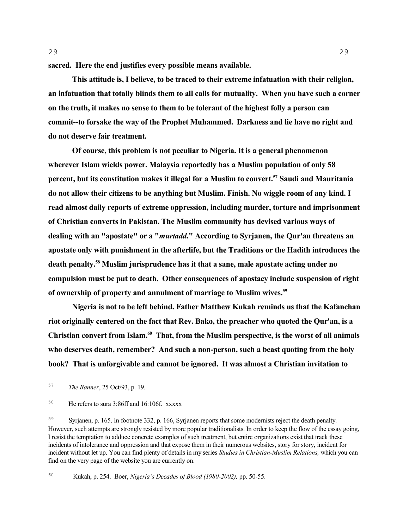**sacred. Here the end justifies every possible means available.** 

**This attitude is, I believe, to be traced to their extreme infatuation with their religion, an infatuation that totally blinds them to all calls for mutuality. When you have such a corner on the truth, it makes no sense to them to be tolerant of the highest folly a person can commit--to forsake the way of the Prophet Muhammed. Darkness and lie have no right and do not deserve fair treatment.** 

**Of course, this problem is not peculiar to Nigeria. It is a general phenomenon wherever Islam wields power. Malaysia reportedly has a Muslim population of only 58 percent, but its constitution makes it illegal for a Muslim to convert.[57](#page-28-0) Saudi and Mauritania do not allow their citizens to be anything but Muslim. Finish. No wiggle room of any kind. I read almost daily reports of extreme oppression, including murder, torture and imprisonment of Christian converts in Pakistan. The Muslim community has devised various ways of dealing with an "apostate" or a "***murtadd***." According to Syrjanen, the Qur'an threatens an apostate only with punishment in the afterlife, but the Traditions or the Hadith introduces the death penalty.[58](#page-28-1) Muslim jurisprudence has it that a sane, male apostate acting under no compulsion must be put to death. Other consequences of apostacy include suspension of right of ownership of property and annulment of marriage to Muslim wives.[59](#page-28-2)** 

**Nigeria is not to be left behind. Father Matthew Kukah reminds us that the Kafanchan riot originally centered on the fact that Rev. Bako, the preacher who quoted the Qur'an, is a Christian convert from Islam.[60](#page-28-3) That, from the Muslim perspective, is the worst of all animals who deserves death, remember? And such a non-person, such a beast quoting from the holy book? That is unforgivable and cannot be ignored. It was almost a Christian invitation to** 

<span id="page-28-0"></span><sup>57</sup> *The Banner*, 25 Oct/93, p. 19.

<span id="page-28-1"></span><sup>58</sup> He refers to sura 3:86ff and 16:106f. xxxxx

<span id="page-28-2"></span><sup>59</sup> Syrjanen, p. 165. In footnote 332, p. 166, Syrjanen reports that some modernists reject the death penalty. However, such attempts are strongly resisted by more popular traditionalists. In order to keep the flow of the essay going, I resist the temptation to adduce concrete examples of such treatment, but entire organizations exist that track these incidents of intolerance and oppression and that expose them in their numerous websites, story for story, incident for incident without let up. You can find plenty of details in my series *Studies in Christian-Muslim Relations,* which you can find on the very page of the website you are currently on.

<span id="page-28-3"></span><sup>60</sup> Kukah, p. 254. Boer, *Nigeria's Decades of Blood (1980-2002),* pp. 50-55.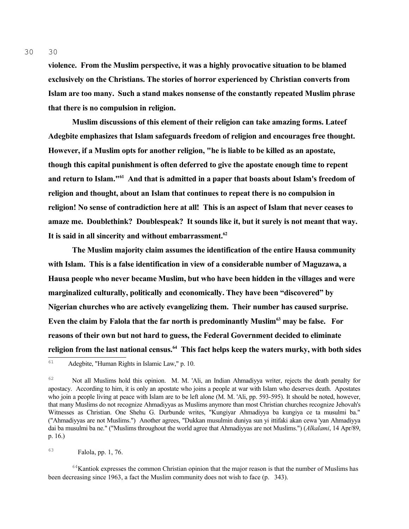**violence. From the Muslim perspective, it was a highly provocative situation to be blamed exclusively on the Christians. The stories of horror experienced by Christian converts from Islam are too many. Such a stand makes nonsense of the constantly repeated Muslim phrase that there is no compulsion in religion.** 

**Muslim discussions of this element of their religion can take amazing forms. Lateef Adegbite emphasizes that Islam safeguards freedom of religion and encourages free thought. However, if a Muslim opts for another religion, "he is liable to be killed as an apostate, though this capital punishment is often deferred to give the apostate enough time to repent and return to Islam."[61](#page-29-0) And that is admitted in a paper that boasts about Islam's freedom of religion and thought, about an Islam that continues to repeat there is no compulsion in religion! No sense of contradiction here at all! This is an aspect of Islam that never ceases to amaze me. Doublethink? Doublespeak? It sounds like it, but it surely is not meant that way. It is said in all sincerity and without embarrassment.[62](#page-29-1)** 

**The Muslim majority claim assumes the identification of the entire Hausa community with Islam. This is a false identification in view of a considerable number of Maguzawa, a Hausa people who never became Muslim, but who have been hidden in the villages and were marginalized culturally, politically and economically. They have been "discovered" by Nigerian churches who are actively evangelizing them. Their number has caused surprise. Even the claim by Falola that the far north is predominantly Muslim[63](#page-29-2) may be false. For reasons of their own but not hard to guess, the Federal Government decided to eliminate religion from the last national census.[64](#page-29-3) This fact helps keep the waters murky, with both sides** 

# <span id="page-29-2"></span><sup>63</sup> Falola, pp. 1, 76.

<span id="page-29-3"></span> $64$ Kantiok expresses the common Christian opinion that the major reason is that the number of Muslims has been decreasing since 1963, a fact the Muslim community does not wish to face (p. 343).

<span id="page-29-0"></span><sup>61</sup> Adegbite, "Human Rights in Islamic Law," p. 10.

<span id="page-29-1"></span><sup>&</sup>lt;sup>62</sup> Not all Muslims hold this opinion. M. M. 'Ali, an Indian Ahmadiyya writer, rejects the death penalty for apostacy. According to him, it is only an apostate who joins a people at war with Islam who deserves death. Apostates who join a people living at peace with Islam are to be left alone (M. M. 'Ali, pp. 593-595). It should be noted, however, that many Muslims do not recognize Ahmadiyyas as Muslims anymore than most Christian churches recognize Jehovah's Witnesses as Christian. One Shehu G. Durbunde writes, "Kungiyar Ahmadiyya ba kungiya ce ta musulmi ba." ("Ahmadiyyas are not Muslims.") Another agrees, "Dukkan musulmin duniya sun yi ittifaki akan cewa 'yan Ahmadiyya dai ba musulmi ba ne." ("Muslims throughout the world agree that Ahmadiyyas are not Muslims.") (*Alkalami*, 14 Apr/89, p. 16.)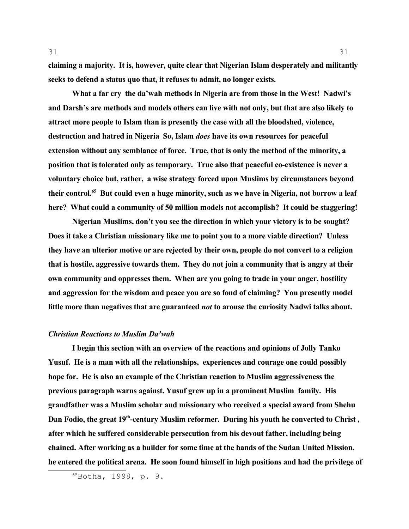**claiming a majority. It is, however, quite clear that Nigerian Islam desperately and militantly seeks to defend a status quo that, it refuses to admit, no longer exists.**

**What a far cry the da'wah methods in Nigeria are from those in the West! Nadwi's and Darsh's are methods and models others can live with not only, but that are also likely to attract more people to Islam than is presently the case with all the bloodshed, violence, destruction and hatred in Nigeria So, Islam** *does* **have its own resources for peaceful extension without any semblance of force. True, that is only the method of the minority, a position that is tolerated only as temporary. True also that peaceful co-existence is never a voluntary choice but, rather, a wise strategy forced upon Muslims by circumstances beyond their control.[65](#page-30-0) But could even a huge minority, such as we have in Nigeria, not borrow a leaf here? What could a community of 50 million models not accomplish? It could be staggering!** 

**Nigerian Muslims, don't you see the direction in which your victory is to be sought? Does it take a Christian missionary like me to point you to a more viable direction? Unless they have an ulterior motive or are rejected by their own, people do not convert to a religion that is hostile, aggressive towards them. They do not join a community that is angry at their own community and oppresses them. When are you going to trade in your anger, hostility and aggression for the wisdom and peace you are so fond of claiming? You presently model little more than negatives that are guaranteed** *not* **to arouse the curiosity Nadwi talks about.**

#### *Christian Reactions to Muslim Da'wah*

**I begin this section with an overview of the reactions and opinions of Jolly Tanko Yusuf. He is a man with all the relationships, experiences and courage one could possibly hope for. He is also an example of the Christian reaction to Muslim aggressiveness the previous paragraph warns against. Yusuf grew up in a prominent Muslim family. His grandfather was a Muslim scholar and missionary who received a special award from Shehu Dan Fodio, the great 19th-century Muslim reformer. During his youth he converted to Christ , after which he suffered considerable persecution from his devout father, including being chained. After working as a builder for some time at the hands of the Sudan United Mission, he entered the political arena. He soon found himself in high positions and had the privilege of**

<span id="page-30-0"></span><sup>65</sup>Botha, 1998, p. 9.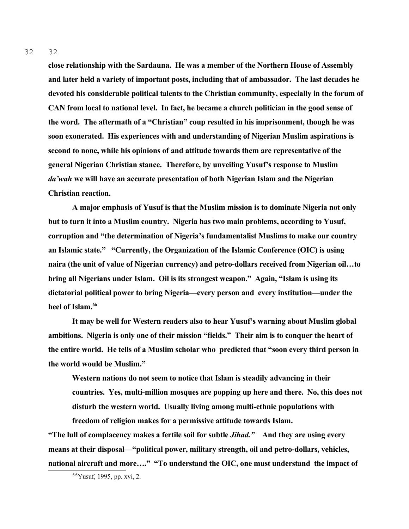32 32

> **close relationship with the Sardauna. He was a member of the Northern House of Assembly and later held a variety of important posts, including that of ambassador. The last decades he devoted his considerable political talents to the Christian community, especially in the forum of CAN from local to national level. In fact, he became a church politician in the good sense of the word. The aftermath of a "Christian" coup resulted in his imprisonment, though he was soon exonerated. His experiences with and understanding of Nigerian Muslim aspirations is second to none, while his opinions of and attitude towards them are representative of the general Nigerian Christian stance. Therefore, by unveiling Yusuf's response to Muslim**  *da'wah* **we will have an accurate presentation of both Nigerian Islam and the Nigerian Christian reaction.**

> **A major emphasis of Yusuf is that the Muslim mission is to dominate Nigeria not only but to turn it into a Muslim country. Nigeria has two main problems, according to Yusuf, corruption and "the determination of Nigeria's fundamentalist Muslims to make our country an Islamic state." "Currently, the Organization of the Islamic Conference (OIC) is using naira (the unit of value of Nigerian currency) and petro-dollars received from Nigerian oil…to bring all Nigerians under Islam. Oil is its strongest weapon." Again, "Islam is using its dictatorial political power to bring Nigeria—every person and every institution—under the heel of Islam.[66](#page-31-0)**

> **It may be well for Western readers also to hear Yusuf's warning about Muslim global ambitions. Nigeria is only one of their mission "fields." Their aim is to conquer the heart of the entire world. He tells of a Muslim scholar who predicted that "soon every third person in the world would be Muslim."**

**Western nations do not seem to notice that Islam is steadily advancing in their countries. Yes, multi-million mosques are popping up here and there. No, this does not disturb the western world. Usually living among multi-ethnic populations with freedom of religion makes for a permissive attitude towards Islam.** 

**"The lull of complacency makes a fertile soil for subtle** *Jihad."* **And they are using every means at their disposal—"political power, military strength, oil and petro-dollars, vehicles, national aircraft and more…." "To understand the OIC, one must understand the impact of** 

<span id="page-31-0"></span> $66$ Yusuf, 1995, pp. xvi, 2.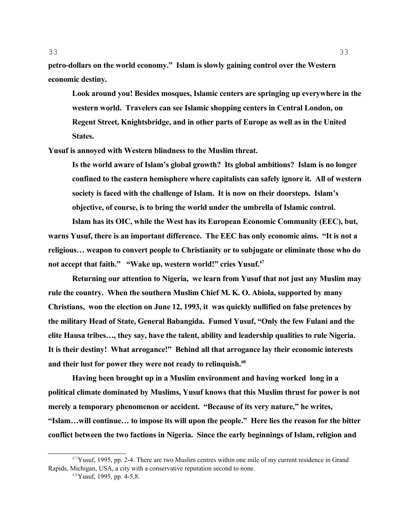**petro-dollars on the world economy." Islam is slowly gaining control over the Western economic destiny.** 

**Look around you! Besides mosques, Islamic centers are springing up everywhere in the western world. Travelers can see Islamic shopping centers in Central London, on Regent Street, Knightsbridge, and in other parts of Europe as well as in the United States.** 

**Yusuf is annoyed with Western blindness to the Muslim threat.**

**Is the world aware of Islam's global growth? Its global ambitions? Islam is no longer confined to the eastern hemisphere where capitalists can safely ignore it. All of western society is faced with the challenge of Islam. It is now on their doorsteps. Islam's objective, of course, is to bring the world under the umbrella of Islamic control.**

**Islam has its OIC, while the West has its European Economic Community (EEC), but, warns Yusuf, there is an important difference. The EEC has only economic aims. "It is not a religious… weapon to convert people to Christianity or to subjugate or eliminate those who do not accept that faith." "Wake up, western world!" cries Yusuf.[67](#page-32-0)**

**Returning our attention to Nigeria, we learn from Yusuf that not just any Muslim may rule the country. When the southern Muslim Chief M. K. O. Abiola, supported by many Christians, won the election on June 12, 1993, it was quickly nullified on false pretences by the military Head of State, General Babangida. Fumed Yusuf, "Only the few Fulani and the elite Hausa tribes…, they say, have the talent, ability and leadership qualities to rule Nigeria. It is their destiny! What arrogance!" Behind all that arrogance lay their economic interests and their lust for power they were not ready to relinquish.[68](#page-32-1)** 

**Having been brought up in a Muslim environment and having worked long in a political climate dominated by Muslims, Yusuf knows that this Muslim thrust for power is not merely a temporary phenomenon or accident. "Because of its very nature," he writes, "Islam…will continue… to impose its will upon the people." Here lies the reason for the bitter conflict between the two factions in Nigeria. Since the early beginnings of Islam, religion and** 

 $67$ Yusuf, 1995, pp. 2-4. There are two Muslim centres within one mile of my current residence in Grand Rapids, Michigan, USA, a city with a conservative reputation second to none.

<span id="page-32-1"></span><span id="page-32-0"></span> $68$ Yusuf, 1995, pp. 4-5,8.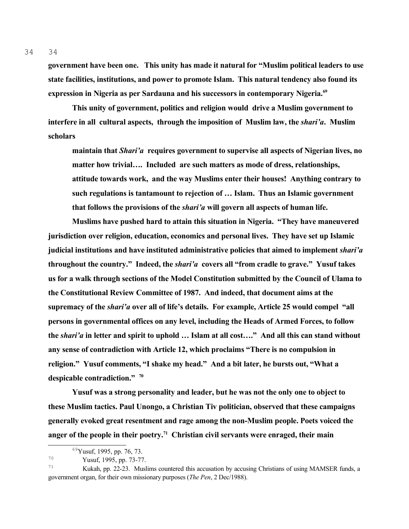**government have been one. This unity has made it natural for "Muslim political leaders to use state facilities, institutions, and power to promote Islam. This natural tendency also found its expression in Nigeria as per Sardauna and his successors in contemporary Nigeria.[69](#page-33-0)**

**This unity of government, politics and religion would drive a Muslim government to interfere in all cultural aspects, through the imposition of Muslim law, the** *shari'a***. Muslim scholars**

**maintain that** *Shari'a* **requires government to supervise all aspects of Nigerian lives, no matter how trivial…. Included are such matters as mode of dress, relationships, attitude towards work, and the way Muslims enter their houses! Anything contrary to such regulations is tantamount to rejection of … Islam. Thus an Islamic government that follows the provisions of the** *shari'a* **will govern all aspects of human life.**

**Muslims have pushed hard to attain this situation in Nigeria. "They have maneuvered jurisdiction over religion, education, economics and personal lives. They have set up Islamic judicial institutions and have instituted administrative policies that aimed to implement** *shari'a* **throughout the country." Indeed, the** *shari'a* **covers all "from cradle to grave." Yusuf takes us for a walk through sections of the Model Constitution submitted by the Council of Ulama to the Constitutional Review Committee of 1987. And indeed, that document aims at the supremacy of the** *shari'a* **over all of life's details. For example, Article 25 would compel "all persons in governmental offices on any level, including the Heads of Armed Forces, to follow the** *shari'a* **in letter and spirit to uphold … Islam at all cost…." And all this can stand without any sense of contradiction with Article 12, which proclaims "There is no compulsion in religion." Yusuf comments, "I shake my head." And a bit later, he bursts out, "What a despicable contradiction." [70](#page-33-1)**

**Yusuf was a strong personality and leader, but he was not the only one to object to these Muslim tactics. Paul Unongo, a Christian Tiv politician, observed that these campaigns generally evoked great resentment and rage among the non-Muslim people. Poets voiced the anger of the people in their poetry.[71](#page-33-2) Christian civil servants were enraged, their main** 

<span id="page-33-0"></span><sup>69</sup>Yusuf, 1995, pp. 76, 73.

<span id="page-33-1"></span><sup>70</sup> Yusuf, 1995, pp. 73-77.

<span id="page-33-2"></span><sup>71</sup> Kukah, pp. 22-23. Muslims countered this accusation by accusing Christians of using MAMSER funds, a government organ, for their own missionary purposes (*The Pen*, 2 Dec/1988).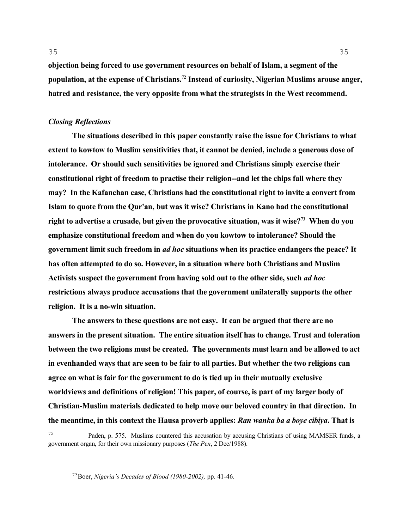**objection being forced to use government resources on behalf of Islam, a segment of the population, at the expense of Christians.[72](#page-34-0) Instead of curiosity, Nigerian Muslims arouse anger, hatred and resistance, the very opposite from what the strategists in the West recommend.** 

## *Closing Reflections*

**The situations described in this paper constantly raise the issue for Christians to what extent to kowtow to Muslim sensitivities that, it cannot be denied, include a generous dose of intolerance. Or should such sensitivities be ignored and Christians simply exercise their constitutional right of freedom to practise their religion--and let the chips fall where they may? In the Kafanchan case, Christians had the constitutional right to invite a convert from Islam to quote from the Qur'an, but was it wise? Christians in Kano had the constitutional right to advertise a crusade, but given the provocative situation, was it wise?[73](#page-34-1) When do you emphasize constitutional freedom and when do you kowtow to intolerance? Should the government limit such freedom in** *ad hoc* **situations when its practice endangers the peace? It has often attempted to do so. However, in a situation where both Christians and Muslim Activists suspect the government from having sold out to the other side, such** *ad hoc* **restrictions always produce accusations that the government unilaterally supports the other religion. It is a no-win situation.** 

**The answers to these questions are not easy. It can be argued that there are no answers in the present situation. The entire situation itself has to change. Trust and toleration between the two religions must be created. The governments must learn and be allowed to act in evenhanded ways that are seen to be fair to all parties. But whether the two religions can agree on what is fair for the government to do is tied up in their mutually exclusive worldviews and definitions of religion! This paper, of course, is part of my larger body of Christian-Muslim materials dedicated to help move our beloved country in that direction. In the meantime, in this context the Hausa proverb applies:** *Ran wanka ba a boye cibiya***. That is** 

<span id="page-34-1"></span><sup>73</sup>Boer, *Nigeria's Decades of Blood (1980-2002),* pp. 41-46.

<span id="page-34-0"></span><sup>72</sup> Paden, p. 575. Muslims countered this accusation by accusing Christians of using MAMSER funds, a government organ, for their own missionary purposes (*The Pen*, 2 Dec/1988).